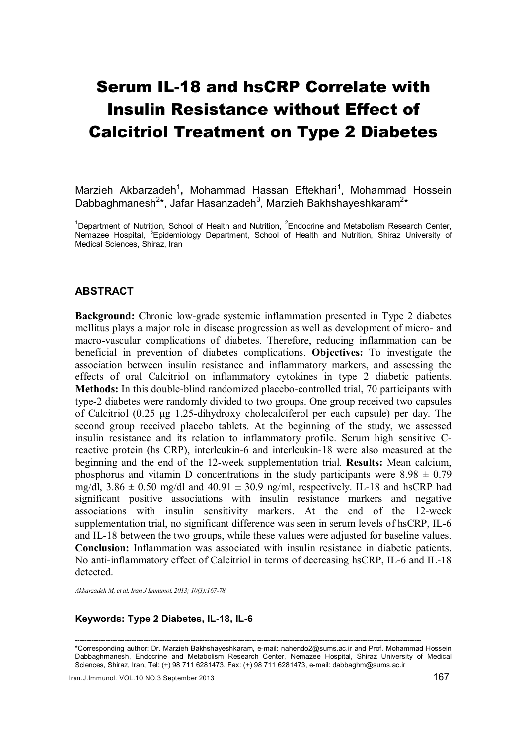# Serum IL-18 and hsCRP Correlate with Insulin Resistance without Effect of Calcitriol Treatment on Type 2 Diabetes

Marzieh Akbarzadeh<sup>1</sup>, Mohammad Hassan Eftekhari<sup>1</sup>, Mohammad Hossein Dabbaghmanesh<sup>2\*</sup>, Jafar Hasanzadeh<sup>3</sup>, Marzieh Bakhshayeshkaram<sup>2\*</sup>

<sup>1</sup>Department of Nutrition, School of Health and Nutrition, <sup>2</sup>Endocrine and Metabolism Research Center, Nemazee Hospital, <sup>3</sup>Epidemiology Department, School of Health and Nutrition, Shiraz University of Medical Sciences, Shiraz, Iran

#### ABSTRACT

Background: Chronic low-grade systemic inflammation presented in Type 2 diabetes mellitus plays a major role in disease progression as well as development of micro- and macro-vascular complications of diabetes. Therefore, reducing inflammation can be beneficial in prevention of diabetes complications. Objectives: To investigate the association between insulin resistance and inflammatory markers, and assessing the effects of oral Calcitriol on inflammatory cytokines in type 2 diabetic patients. Methods: In this double-blind randomized placebo-controlled trial, 70 participants with type-2 diabetes were randomly divided to two groups. One group received two capsules of Calcitriol (0.25 μg 1,25-dihydroxy cholecalciferol per each capsule) per day. The second group received placebo tablets. At the beginning of the study, we assessed insulin resistance and its relation to inflammatory profile. Serum high sensitive Creactive protein (hs CRP), interleukin-6 and interleukin-18 were also measured at the beginning and the end of the 12-week supplementation trial. Results: Mean calcium, phosphorus and vitamin D concentrations in the study participants were  $8.98 \pm 0.79$ mg/dl,  $3.86 \pm 0.50$  mg/dl and  $40.91 \pm 30.9$  ng/ml, respectively. IL-18 and hsCRP had significant positive associations with insulin resistance markers and negative associations with insulin sensitivity markers. At the end of the 12-week supplementation trial, no significant difference was seen in serum levels of hsCRP, IL-6 and IL-18 between the two groups, while these values were adjusted for baseline values. Conclusion: Inflammation was associated with insulin resistance in diabetic patients. No anti-inflammatory effect of Calcitriol in terms of decreasing hsCRP, IL-6 and IL-18 detected.

*Akbarzadeh M, et al. Iran J Immunol. 2013; 10(3):167-78* 

#### Keywords: Type 2 Diabetes, IL-18, IL-6

--------------------------------------------------------------------------------------------------------------------------------------------------- \*Corresponding author: Dr. Marzieh Bakhshayeshkaram, e-mail: nahendo2@sums.ac.ir and Prof. Mohammad Hossein Dabbaghmanesh, Endocrine and Metabolism Research Center, Nemazee Hospital, Shiraz University of Medical Sciences, Shiraz, Iran, Tel: (+) 98 711 6281473, Fax: (+) 98 711 6281473, e-mail: dabbaghm@sums.ac.ir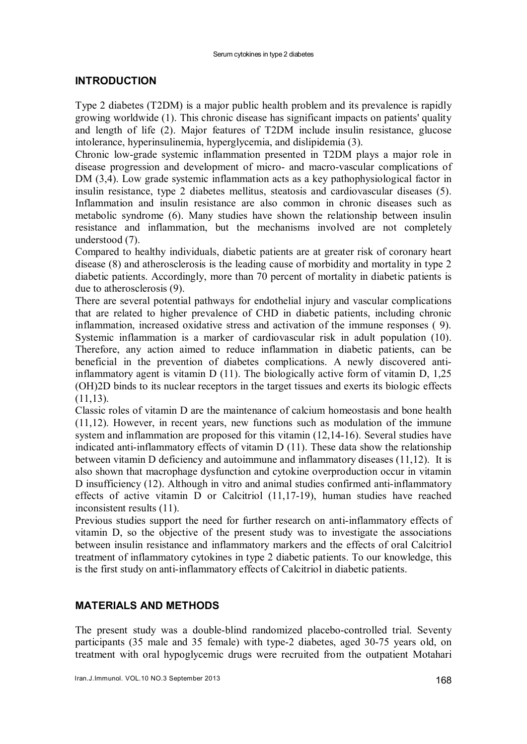# INTRODUCTION

Type 2 diabetes (T2DM) is a major public health problem and its prevalence is rapidly growing worldwide (1). This chronic disease has significant impacts on patients' quality and length of life (2). Major features of T2DM include insulin resistance, glucose intolerance, hyperinsulinemia, hyperglycemia, and dislipidemia (3).

Chronic low-grade systemic inflammation presented in T2DM plays a major role in disease progression and development of micro- and macro-vascular complications of DM (3,4). Low grade systemic inflammation acts as a key pathophysiological factor in insulin resistance, type 2 diabetes mellitus, steatosis and cardiovascular diseases (5). Inflammation and insulin resistance are also common in chronic diseases such as metabolic syndrome (6). Many studies have shown the relationship between insulin resistance and inflammation, but the mechanisms involved are not completely understood (7).

Compared to healthy individuals, diabetic patients are at greater risk of coronary heart disease (8) and atherosclerosis is the leading cause of morbidity and mortality in type 2 diabetic patients. Accordingly, more than 70 percent of mortality in diabetic patients is due to atherosclerosis (9).

There are several potential pathways for endothelial injury and vascular complications that are related to higher prevalence of CHD in diabetic patients, including chronic inflammation, increased oxidative stress and activation of the immune responses ( 9). Systemic inflammation is a marker of cardiovascular risk in adult population (10). Therefore, any action aimed to reduce inflammation in diabetic patients, can be beneficial in the prevention of diabetes complications. A newly discovered antiinflammatory agent is vitamin D (11). The biologically active form of vitamin D, 1,25 (OH)2D binds to its nuclear receptors in the target tissues and exerts its biologic effects  $(11,13)$ .

Classic roles of vitamin D are the maintenance of calcium homeostasis and bone health (11,12). However, in recent years, new functions such as modulation of the immune system and inflammation are proposed for this vitamin (12,14-16). Several studies have indicated anti-inflammatory effects of vitamin D (11). These data show the relationship between vitamin D deficiency and autoimmune and inflammatory diseases (11,12). It is also shown that macrophage dysfunction and cytokine overproduction occur in vitamin D insufficiency (12). Although in vitro and animal studies confirmed anti-inflammatory effects of active vitamin D or Calcitriol (11,17-19), human studies have reached inconsistent results (11).

Previous studies support the need for further research on anti-inflammatory effects of vitamin D, so the objective of the present study was to investigate the associations between insulin resistance and inflammatory markers and the effects of oral Calcitriol treatment of inflammatory cytokines in type 2 diabetic patients. To our knowledge, this is the first study on anti-inflammatory effects of Calcitriol in diabetic patients.

# MATERIALS AND METHODS

The present study was a double-blind randomized placebo-controlled trial. Seventy participants (35 male and 35 female) with type-2 diabetes, aged 30-75 years old, on treatment with oral hypoglycemic drugs were recruited from the outpatient Motahari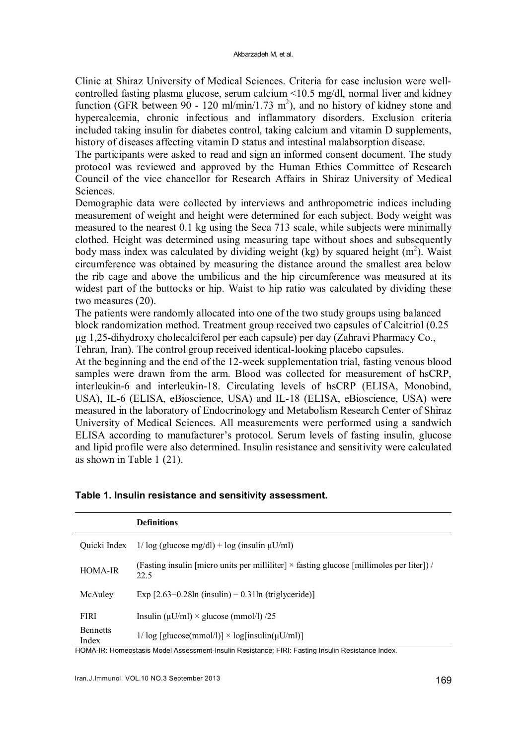Clinic at Shiraz University of Medical Sciences. Criteria for case inclusion were wellcontrolled fasting plasma glucose, serum calcium <10.5 mg/dl, normal liver and kidney function (GFR between  $90 - 120$  ml/min/1.73 m<sup>2</sup>), and no history of kidney stone and hypercalcemia, chronic infectious and inflammatory disorders. Exclusion criteria included taking insulin for diabetes control, taking calcium and vitamin D supplements, history of diseases affecting vitamin D status and intestinal malabsorption disease.

The participants were asked to read and sign an informed consent document. The study protocol was reviewed and approved by the Human Ethics Committee of Research Council of the vice chancellor for Research Affairs in Shiraz University of Medical Sciences.

Demographic data were collected by interviews and anthropometric indices including measurement of weight and height were determined for each subject. Body weight was measured to the nearest 0.1 kg using the Seca 713 scale, while subjects were minimally clothed. Height was determined using measuring tape without shoes and subsequently body mass index was calculated by dividing weight  $(kg)$  by squared height  $(m<sup>2</sup>)$ . Waist circumference was obtained by measuring the distance around the smallest area below the rib cage and above the umbilicus and the hip circumference was measured at its widest part of the buttocks or hip. Waist to hip ratio was calculated by dividing these two measures (20).

The patients were randomly allocated into one of the two study groups using balanced block randomization method. Treatment group received two capsules of Calcitriol (0.25 μg 1,25-dihydroxy cholecalciferol per each capsule) per day (Zahravi Pharmacy Co.,

Tehran, Iran). The control group received identical-looking placebo capsules.

At the beginning and the end of the 12-week supplementation trial, fasting venous blood samples were drawn from the arm. Blood was collected for measurement of hsCRP, interleukin-6 and interleukin-18. Circulating levels of hsCRP (ELISA, Monobind, USA), IL-6 (ELISA, eBioscience, USA) and IL-18 (ELISA, eBioscience, USA) were measured in the laboratory of Endocrinology and Metabolism Research Center of Shiraz University of Medical Sciences. All measurements were performed using a sandwich ELISA according to manufacturer's protocol. Serum levels of fasting insulin, glucose and lipid profile were also determined. Insulin resistance and sensitivity were calculated as shown in Table 1 (21).

|                          | <b>Definitions</b>                                                                                       |
|--------------------------|----------------------------------------------------------------------------------------------------------|
| Ouicki Index             | $1/\log$ (glucose mg/dl) + log (insulin $\mu$ U/ml)                                                      |
| <b>HOMA-IR</b>           | (Fasting insulin [micro units per milliliter] $\times$ fasting glucose [millimoles per liter]) /<br>22.5 |
| McAuley                  | Exp $[2.63-0.28\ln(\text{insulin}) - 0.31\ln(\text{triglyceride})]$                                      |
| <b>FIRI</b>              | Insulin ( $\mu$ U/ml) × glucose (mmol/l) /25                                                             |
| <b>Bennetts</b><br>Index | $1/\log$ [glucose(mmol/l)] $\times$ log[insulin( $\mu$ U/ml)]                                            |

|  |  |  |  |  | Table 1. Insulin resistance and sensitivity assessment. |
|--|--|--|--|--|---------------------------------------------------------|
|--|--|--|--|--|---------------------------------------------------------|

HOMA-IR: Homeostasis Model Assessment-Insulin Resistance; FIRI: Fasting Insulin Resistance Index.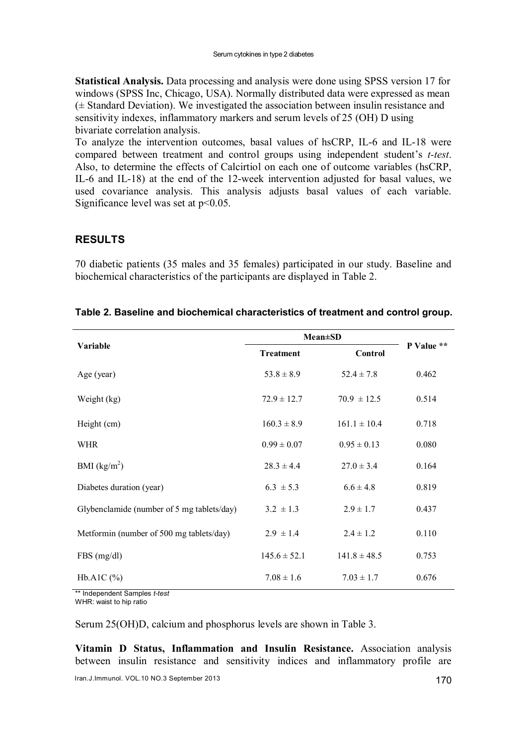Statistical Analysis. Data processing and analysis were done using SPSS version 17 for windows (SPSS Inc, Chicago, USA). Normally distributed data were expressed as mean (± Standard Deviation). We investigated the association between insulin resistance and sensitivity indexes, inflammatory markers and serum levels of 25 (OH) D using bivariate correlation analysis.

To analyze the intervention outcomes, basal values of hsCRP, IL-6 and IL-18 were compared between treatment and control groups using independent student's *t-test*. Also, to determine the effects of Calcirtiol on each one of outcome variables (hsCRP, IL-6 and IL-18) at the end of the 12-week intervention adjusted for basal values, we used covariance analysis. This analysis adjusts basal values of each variable. Significance level was set at  $p<0.05$ .

# RESULTS

70 diabetic patients (35 males and 35 females) participated in our study. Baseline and biochemical characteristics of the participants are displayed in Table 2.

|                                            | <b>Mean</b> ±SD  |                  |            |
|--------------------------------------------|------------------|------------------|------------|
| <b>Variable</b>                            | <b>Treatment</b> | <b>Control</b>   | P Value ** |
| Age (year)                                 | $53.8 \pm 8.9$   | $52.4 \pm 7.8$   | 0.462      |
| Weight (kg)                                | $72.9 \pm 12.7$  | $70.9 \pm 12.5$  | 0.514      |
| Height (cm)                                | $160.3 \pm 8.9$  | $161.1 \pm 10.4$ | 0.718      |
| <b>WHR</b>                                 | $0.99 \pm 0.07$  | $0.95 \pm 0.13$  | 0.080      |
| BMI $(kg/m^2)$                             | $28.3 \pm 4.4$   | $27.0 \pm 3.4$   | 0.164      |
| Diabetes duration (year)                   | $6.3 \pm 5.3$    | $6.6 \pm 4.8$    | 0.819      |
| Glybenclamide (number of 5 mg tablets/day) | $3.2 \pm 1.3$    | $2.9 \pm 1.7$    | 0.437      |
| Metformin (number of 500 mg tablets/day)   | $2.9 \pm 1.4$    | $2.4 \pm 1.2$    | 0.110      |
| FBS(mg/dl)                                 | $145.6 \pm 52.1$ | $141.8 \pm 48.5$ | 0.753      |
| Hb.A1C $(\%)$                              | $7.08 \pm 1.6$   | $7.03 \pm 1.7$   | 0.676      |

\*\* Independent Samples *t-test*

WHR: waist to hip ratio

Serum 25(OH)D, calcium and phosphorus levels are shown in Table 3.

Vitamin D Status, Inflammation and Insulin Resistance. Association analysis between insulin resistance and sensitivity indices and inflammatory profile are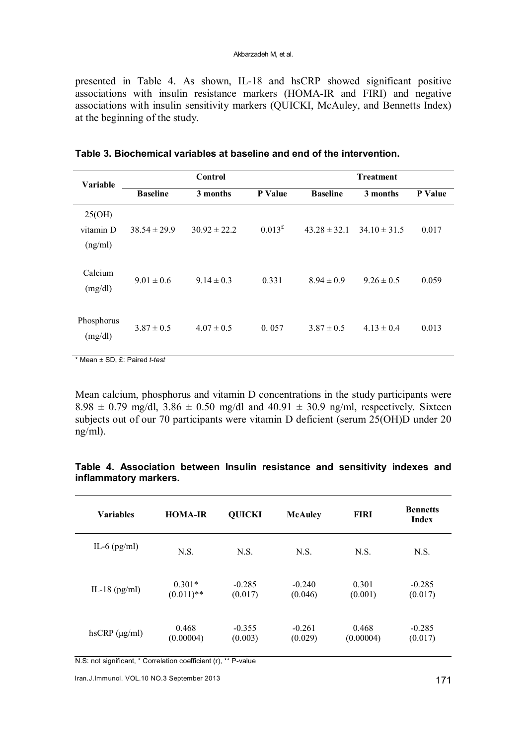presented in Table 4. As shown, IL-18 and hsCRP showed significant positive associations with insulin resistance markers (HOMA-IR and FIRI) and negative associations with insulin sensitivity markers (QUICKI, McAuley, and Bennetts Index) at the beginning of the study.

| <b>Variable</b>                | Control          |                  |           | <b>Treatment</b> |                  |                |
|--------------------------------|------------------|------------------|-----------|------------------|------------------|----------------|
|                                | <b>Baseline</b>  | 3 months         | P Value   | <b>Baseline</b>  | 3 months         | <b>P</b> Value |
| 25(OH)<br>vitamin D<br>(ng/ml) | $38.54 \pm 29.9$ | $30.92 \pm 22.2$ | $0.013^t$ | $43.28 \pm 32.1$ | $34.10 \pm 31.5$ | 0.017          |
| Calcium<br>(mg/dl)             | $9.01 \pm 0.6$   | $9.14 \pm 0.3$   | 0.331     | $8.94 \pm 0.9$   | $9.26 \pm 0.5$   | 0.059          |
| Phosphorus<br>(mg/dl)          | $3.87 \pm 0.5$   | $4.07 \pm 0.5$   | 0.057     | $3.87 \pm 0.5$   | $4.13 \pm 0.4$   | 0.013          |

|  | Table 3. Biochemical variables at baseline and end of the intervention. |  |  |  |
|--|-------------------------------------------------------------------------|--|--|--|
|--|-------------------------------------------------------------------------|--|--|--|

\* Mean ± SD, £: Paired *t-test*

Mean calcium, phosphorus and vitamin D concentrations in the study participants were  $8.98 \pm 0.79$  mg/dl,  $3.86 \pm 0.50$  mg/dl and  $40.91 \pm 30.9$  ng/ml, respectively. Sixteen subjects out of our 70 participants were vitamin D deficient (serum 25(OH)D under 20 ng/ml).

| <b>Variables</b>       | <b>HOMA-IR</b>           | <b>QUICKI</b>       | <b>McAuley</b>      | <b>FIRI</b>        | <b>Bennetts</b><br><b>Index</b> |
|------------------------|--------------------------|---------------------|---------------------|--------------------|---------------------------------|
| IL-6 $(pg/ml)$         | N.S.                     | N.S.                | N.S.                | N.S.               | N.S.                            |
| IL-18 $(pg/ml)$        | $0.301*$<br>$(0.011)$ ** | $-0.285$<br>(0.017) | $-0.240$<br>(0.046) | 0.301<br>(0.001)   | $-0.285$<br>(0.017)             |
| $h$ sCRP ( $\mu$ g/ml) | 0.468<br>(0.00004)       | $-0.355$<br>(0.003) | $-0.261$<br>(0.029) | 0.468<br>(0.00004) | $-0.285$<br>(0.017)             |

#### Table 4. Association between Insulin resistance and sensitivity indexes and inflammatory markers.

N.S: not significant, \* Correlation coefficient (r), \*\* P-value

Iran.J.Immunol. VOL.10 NO.3 September 2013 171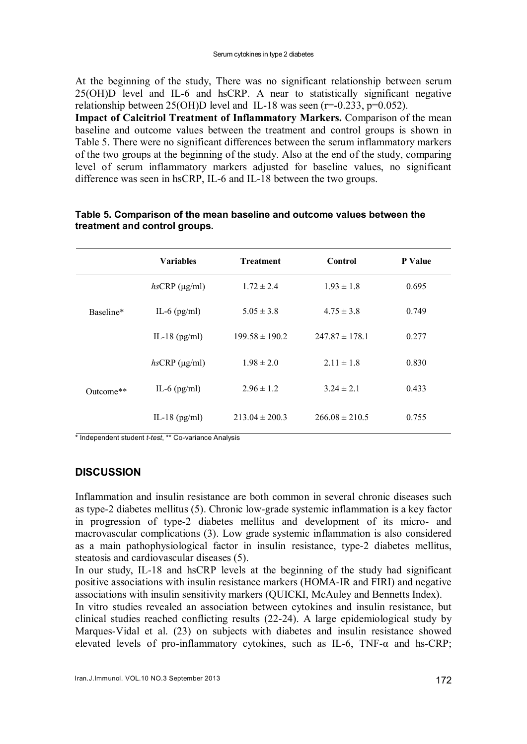At the beginning of the study, There was no significant relationship between serum 25(OH)D level and IL-6 and hsCRP. A near to statistically significant negative relationship between  $25(OH)D$  level and IL-18 was seen ( $r=0.233$ ,  $p=0.052$ ).

Impact of Calcitriol Treatment of Inflammatory Markers. Comparison of the mean baseline and outcome values between the treatment and control groups is shown in Table 5. There were no significant differences between the serum inflammatory markers of the two groups at the beginning of the study. Also at the end of the study, comparing level of serum inflammatory markers adjusted for baseline values, no significant difference was seen in hsCRP, IL-6 and IL-18 between the two groups.

|           | <b>Variables</b>       | <b>Treatment</b>   | Control            | P Value |
|-----------|------------------------|--------------------|--------------------|---------|
| Baseline* | $hsCRP$ ( $\mu$ g/ml)  | $1.72 \pm 2.4$     | $1.93 \pm 1.8$     | 0.695   |
|           | IL-6 $(pg/ml)$         | $5.05 \pm 3.8$     | $4.75 \pm 3.8$     | 0.749   |
|           | IL-18 $(pg/ml)$        | $199.58 \pm 190.2$ | $247.87 \pm 178.1$ | 0.277   |
| Outcome** | $h$ sCRP ( $\mu$ g/ml) | $1.98 \pm 2.0$     | $2.11 \pm 1.8$     | 0.830   |
|           | IL-6 $(pg/ml)$         | $2.96 \pm 1.2$     | $3.24 \pm 2.1$     | 0.433   |
|           | IL-18 $(pg/ml)$        | $213.04 \pm 200.3$ | $266.08 \pm 210.5$ | 0.755   |

## Table 5. Comparison of the mean baseline and outcome values between the treatment and control groups.

\* Independent student *t-test*, \*\* Co-variance Analysis

# **DISCUSSION**

Inflammation and insulin resistance are both common in several chronic diseases such as type-2 diabetes mellitus (5). Chronic low-grade systemic inflammation is a key factor in progression of type-2 diabetes mellitus and development of its micro- and macrovascular complications (3). Low grade systemic inflammation is also considered as a main pathophysiological factor in insulin resistance, type-2 diabetes mellitus, steatosis and cardiovascular diseases (5).

In our study, IL-18 and hsCRP levels at the beginning of the study had significant positive associations with insulin resistance markers (HOMA-IR and FIRI) and negative associations with insulin sensitivity markers (QUICKI, McAuley and Bennetts Index).

In vitro studies revealed an association between cytokines and insulin resistance, but clinical studies reached conflicting results (22-24). A large epidemiological study by Marques-Vidal et al. (23) on subjects with diabetes and insulin resistance showed elevated levels of pro-inflammatory cytokines, such as IL-6, TNF-α and hs-CRP;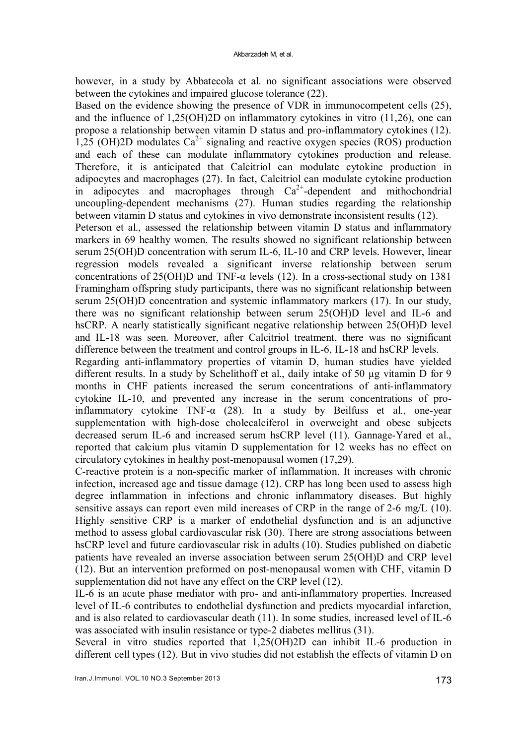however, in a study by Abbatecola et al. no significant associations were observed between the cytokines and impaired glucose tolerance (22).

Based on the evidence showing the presence of VDR in immunocompetent cells (25), and the influence of 1,25(OH)2D on inflammatory cytokines in vitro (11,26), one can propose a relationship between vitamin D status and pro-inflammatory cytokines (12). 1,25 (OH)2D modulates  $Ca^{2+}$  signaling and reactive oxygen species (ROS) production and each of these can modulate inflammatory cytokines production and release. Therefore, it is anticipated that Calcitriol can modulate cytokine production in adipocytes and macrophages (27). In fact, Calcitriol can modulate cytokine production in adipocytes and macrophages through  $Ca^{2+}$ -dependent and mithochondrial uncoupling-dependent mechanisms (27). Human studies regarding the relationship between vitamin D status and cytokines in vivo demonstrate inconsistent results (12).

Peterson et al., assessed the relationship between vitamin D status and inflammatory markers in 69 healthy women. The results showed no significant relationship between serum 25(OH)D concentration with serum IL-6, IL-10 and CRP levels. However, linear regression models revealed a significant inverse relationship between serum concentrations of 25(OH)D and TNF-α levels (12). In a cross-sectional study on 1381 Framingham offspring study participants, there was no significant relationship between serum 25(OH)D concentration and systemic inflammatory markers (17). In our study, there was no significant relationship between serum 25(OH)D level and IL-6 and hsCRP. A nearly statistically significant negative relationship between 25(OH)D level and IL-18 was seen. Moreover, after Calcitriol treatment, there was no significant difference between the treatment and control groups in IL-6, IL-18 and hsCRP levels.

Regarding anti-inflammatory properties of vitamin D, human studies have yielded different results. In a study by Schelithoff et al., daily intake of 50 µg vitamin D for 9 months in CHF patients increased the serum concentrations of anti-inflammatory cytokine IL-10, and prevented any increase in the serum concentrations of proinflammatory cytokine TNF-α (28). In a study by Beilfuss et al., one-year supplementation with high-dose cholecalciferol in overweight and obese subjects decreased serum IL-6 and increased serum hsCRP level (11). Gannage-Yared et al., reported that calcium plus vitamin D supplementation for 12 weeks has no effect on circulatory cytokines in healthy post-menopausal women (17,29).

C-reactive protein is a non-specific marker of inflammation. It increases with chronic infection, increased age and tissue damage (12). CRP has long been used to assess high degree inflammation in infections and chronic inflammatory diseases. But highly sensitive assays can report even mild increases of CRP in the range of 2-6 mg/L (10). Highly sensitive CRP is a marker of endothelial dysfunction and is an adjunctive method to assess global cardiovascular risk (30). There are strong associations between hsCRP level and future cardiovascular risk in adults (10). Studies published on diabetic patients have revealed an inverse association between serum 25(OH)D and CRP level (12). But an intervention preformed on post-menopausal women with CHF, vitamin D supplementation did not have any effect on the CRP level (12).

IL-6 is an acute phase mediator with pro- and anti-inflammatory properties. Increased level of IL-6 contributes to endothelial dysfunction and predicts myocardial infarction, and is also related to cardiovascular death (11). In some studies, increased level of IL-6 was associated with insulin resistance or type-2 diabetes mellitus (31).

Several in vitro studies reported that 1,25(OH)2D can inhibit IL-6 production in different cell types (12). But in vivo studies did not establish the effects of vitamin D on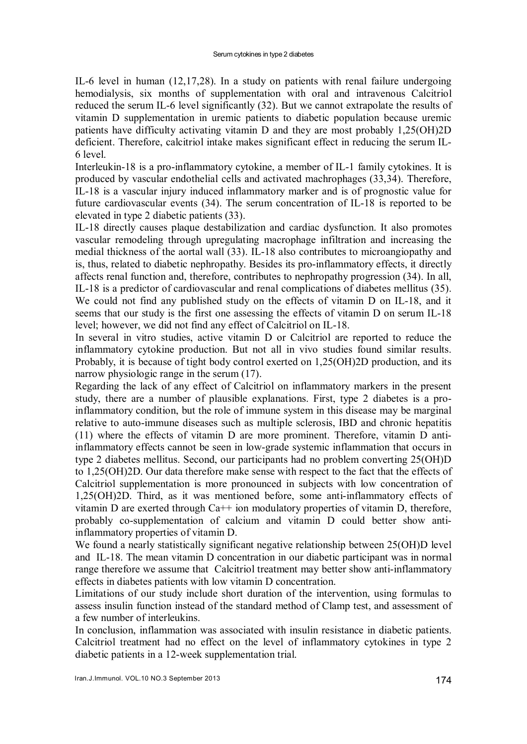IL-6 level in human (12,17,28). In a study on patients with renal failure undergoing hemodialysis, six months of supplementation with oral and intravenous Calcitriol reduced the serum IL-6 level significantly (32). But we cannot extrapolate the results of vitamin D supplementation in uremic patients to diabetic population because uremic patients have difficulty activating vitamin D and they are most probably 1,25(OH)2D deficient. Therefore, calcitriol intake makes significant effect in reducing the serum IL-6 level.

Interleukin-18 is a pro-inflammatory cytokine, a member of IL-1 family cytokines. It is produced by vascular endothelial cells and activated machrophages (33,34). Therefore, IL-18 is a vascular injury induced inflammatory marker and is of prognostic value for future cardiovascular events (34). The serum concentration of IL-18 is reported to be elevated in type 2 diabetic patients (33).

IL-18 directly causes plaque destabilization and cardiac dysfunction. It also promotes vascular remodeling through upregulating macrophage infiltration and increasing the medial thickness of the aortal wall (33). IL-18 also contributes to microangiopathy and is, thus, related to diabetic nephropathy. Besides its pro-inflammatory effects, it directly affects renal function and, therefore, contributes to nephropathy progression (34). In all, IL-18 is a predictor of cardiovascular and renal complications of diabetes mellitus (35). We could not find any published study on the effects of vitamin D on IL-18, and it seems that our study is the first one assessing the effects of vitamin D on serum IL-18 level; however, we did not find any effect of Calcitriol on IL-18.

In several in vitro studies, active vitamin D or Calcitriol are reported to reduce the inflammatory cytokine production. But not all in vivo studies found similar results. Probably, it is because of tight body control exerted on 1,25(OH)2D production, and its narrow physiologic range in the serum (17).

Regarding the lack of any effect of Calcitriol on inflammatory markers in the present study, there are a number of plausible explanations. First, type 2 diabetes is a proinflammatory condition, but the role of immune system in this disease may be marginal relative to auto-immune diseases such as multiple sclerosis, IBD and chronic hepatitis (11) where the effects of vitamin D are more prominent. Therefore, vitamin D antiinflammatory effects cannot be seen in low-grade systemic inflammation that occurs in type 2 diabetes mellitus. Second, our participants had no problem converting 25(OH)D to 1,25(OH)2D. Our data therefore make sense with respect to the fact that the effects of Calcitriol supplementation is more pronounced in subjects with low concentration of 1,25(OH)2D. Third, as it was mentioned before, some anti-inflammatory effects of vitamin D are exerted through  $Ca^{++}$  ion modulatory properties of vitamin D, therefore, probably co-supplementation of calcium and vitamin D could better show antiinflammatory properties of vitamin D.

We found a nearly statistically significant negative relationship between 25(OH)D level and IL-18. The mean vitamin D concentration in our diabetic participant was in normal range therefore we assume that Calcitriol treatment may better show anti-inflammatory effects in diabetes patients with low vitamin D concentration.

Limitations of our study include short duration of the intervention, using formulas to assess insulin function instead of the standard method of Clamp test, and assessment of a few number of interleukins.

In conclusion, inflammation was associated with insulin resistance in diabetic patients. Calcitriol treatment had no effect on the level of inflammatory cytokines in type 2 diabetic patients in a 12-week supplementation trial.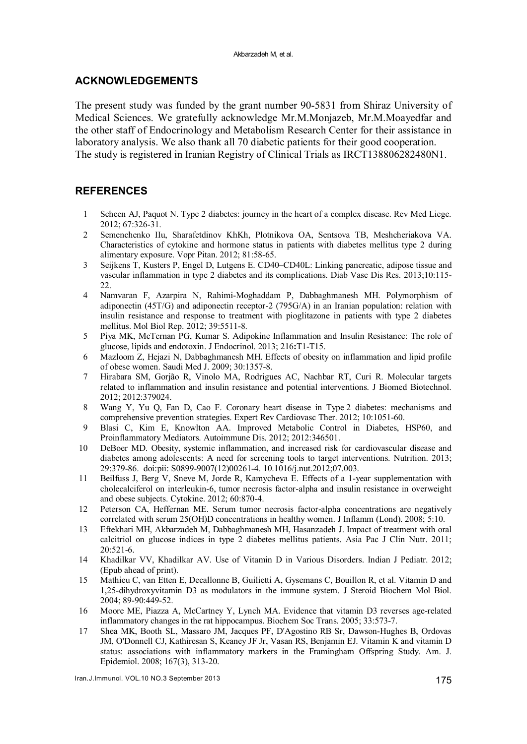#### ACKNOWLEDGEMENTS

The present study was funded by the grant number 90-5831 from Shiraz University of Medical Sciences. We gratefully acknowledge Mr.M.Monjazeb, Mr.M.Moayedfar and the other staff of Endocrinology and Metabolism Research Center for their assistance in laboratory analysis. We also thank all 70 diabetic patients for their good cooperation. The study is registered in Iranian Registry of Clinical Trials as IRCT138806282480N1.

### REFERENCES

- 1 Scheen AJ, Paquot N. Type 2 diabetes: journey in the heart of a complex disease. Rev Med Liege. 2012; 67:326-31.
- 2 Semenchenko IIu, Sharafetdinov KhKh, Plotnikova OA, Sentsova TB, Meshcheriakova VA. Characteristics of cytokine and hormone status in patients with diabetes mellitus type 2 during alimentary exposure. Vopr Pitan. 2012; 81:58-65.
- 3 Seijkens T, Kusters P, Engel D, Lutgens E. CD40–CD40L: Linking pancreatic, adipose tissue and vascular inflammation in type 2 diabetes and its complications. Diab Vasc Dis Res. 2013;10:115- 22.
- 4 Namvaran F, Azarpira N, Rahimi-Moghaddam P, Dabbaghmanesh MH. Polymorphism of adiponectin (45T/G) and adiponectin receptor-2 (795G/A) in an Iranian population: relation with insulin resistance and response to treatment with pioglitazone in patients with type 2 diabetes mellitus. Mol Biol Rep. 2012; 39:5511-8.
- 5 Piya MK, McTernan PG, Kumar S. Adipokine Inflammation and Insulin Resistance: The role of glucose, lipids and endotoxin. J Endocrinol. 2013; 216:T1-T15.
- 6 Mazloom Z, Hejazi N, Dabbaghmanesh MH. Effects of obesity on inflammation and lipid profile of obese women. Saudi Med J. 2009; 30:1357-8.
- 7 Hirabara SM, Gorjão R, Vinolo MA, Rodrigues AC, Nachbar RT, Curi R. Molecular targets related to inflammation and insulin resistance and potential interventions. J Biomed Biotechnol. 2012; 2012:379024.
- 8 Wang Y, Yu Q, Fan D, Cao F. Coronary heart disease in Type 2 diabetes: mechanisms and comprehensive prevention strategies. Expert Rev Cardiovasc Ther. 2012; 10:1051-60.
- 9 Blasi C, Kim E, Knowlton AA. Improved Metabolic Control in Diabetes, HSP60, and Proinflammatory Mediators. Autoimmune Dis. 2012; 2012:346501.
- 10 DeBoer MD. Obesity, systemic inflammation, and increased risk for cardiovascular disease and diabetes among adolescents: A need for screening tools to target interventions. Nutrition. 2013; 29:379-86. doi:pii: S0899-9007(12)00261-4. 10.1016/j.nut.2012;07.003.
- 11 Beilfuss J, Berg V, Sneve M, Jorde R, Kamycheva E. Effects of a 1-year supplementation with cholecalciferol on interleukin-6, tumor necrosis factor-alpha and insulin resistance in overweight and obese subjects. Cytokine. 2012; 60:870-4.
- 12 Peterson CA, Heffernan ME. Serum tumor necrosis factor-alpha concentrations are negatively correlated with serum 25(OH)D concentrations in healthy women. J Inflamm (Lond). 2008; 5:10.
- 13 Eftekhari MH, Akbarzadeh M, Dabbaghmanesh MH, Hasanzadeh J. Impact of treatment with oral calcitriol on glucose indices in type 2 diabetes mellitus patients. Asia Pac J Clin Nutr. 2011; 20:521-6.
- 14 Khadilkar VV, Khadilkar AV. Use of Vitamin D in Various Disorders. Indian J Pediatr. 2012; (Epub ahead of print).
- 15 Mathieu C, van Etten E, Decallonne B, Guilietti A, Gysemans C, Bouillon R, et al. Vitamin D and 1,25-dihydroxyvitamin D3 as modulators in the immune system. J Steroid Biochem Mol Biol. 2004; 89-90:449-52.
- 16 Moore ME, Piazza A, McCartney Y, Lynch MA. Evidence that vitamin D3 reverses age-related inflammatory changes in the rat hippocampus. Biochem Soc Trans. 2005; 33:573-7.
- 17 Shea MK, Booth SL, Massaro JM, Jacques PF, D'Agostino RB Sr, Dawson-Hughes B, Ordovas JM, O'Donnell CJ, Kathiresan S, Keaney JF Jr, Vasan RS, Benjamin EJ. Vitamin K and vitamin D status: associations with inflammatory markers in the Framingham Offspring Study. Am. J. Epidemiol. 2008; 167(3), 313-20.